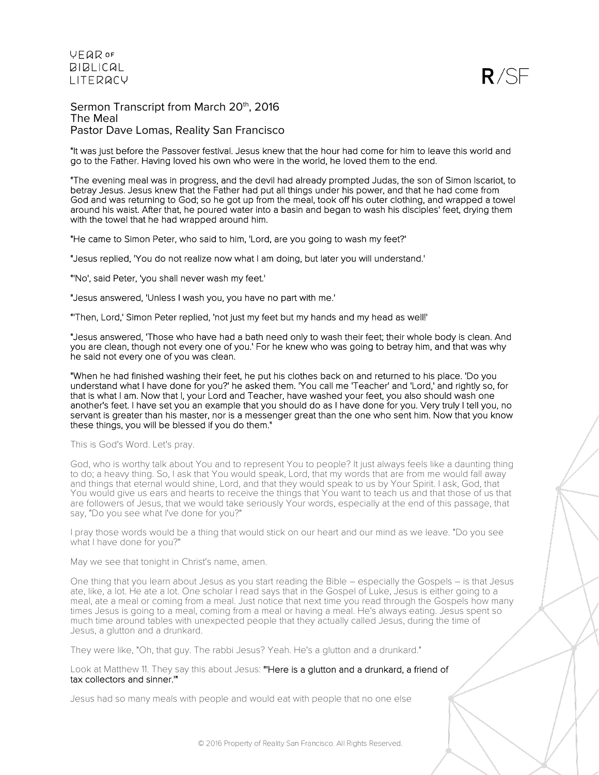$R/SF$ 

Sermon Transcript from March 20<sup>th</sup>, 2016 The Meal Pastor Dave Lomas, Reality San Francisco

"It was just before the Passover festival. Jesus knew that the hour had come for him to leave this world and go to the Father. Having loved his own who were in the world, he loved them to the end.

"The evening meal was in progress, and the devil had already prompted Judas, the son of Simon Iscariot, to betray Jesus. Jesus knew that the Father had put all things under his power, and that he had come from God and was returning to God; so he got up from the meal, took off his outer clothing, and wrapped a towel around his waist. After that, he poured water into a basin and began to wash his disciples' feet, drying them with the towel that he had wrapped around him.

"He came to Simon Peter, who said to him, 'Lord, are you going to wash my feet?'

"Jesus replied, 'You do not realize now what I am doing, but later you will understand.'

"'No', said Peter, 'you shall never wash my feet.'

"Jesus answered, 'Unless I wash you, you have no part with me.'

"'Then, Lord,' Simon Peter replied, 'not just my feet but my hands and my head as well!'

"Jesus answered, 'Those who have had a bath need only to wash their feet; their whole body is clean. And you are clean, though not every one of you.' For he knew who was going to betray him, and that was why he said not every one of you was clean.

"When he had finished washing their feet, he put his clothes back on and returned to his place. 'Do you understand what I have done for you?' he asked them. 'You call me 'Teacher' and 'Lord,' and rightly so, for that is what I am. Now that I, your Lord and Teacher, have washed your feet, you also should wash one another's feet. I have set you an example that you should do as I have done for you. Very truly I tell you, no servant is greater than his master, nor is a messenger great than the one who sent him. Now that you know these things, you will be blessed if you do them."

#### This is God's Word. Let's pray.

God, who is worthy talk about You and to represent You to people? It just always feels like a daunting thing to do; a heavy thing. So, I ask that You would speak, Lord, that my words that are from me would fall away and things that eternal would shine, Lord, and that they would speak to us by Your Spirit. I ask, God, that You would give us ears and hearts to receive the things that You want to teach us and that those of us that are followers of Jesus, that we would take seriously Your words, especially at the end of this passage, that say, "Do you see what I've done for you?"

I pray those words would be a thing that would stick on our heart and our mind as we leave. "Do you see what I have done for you?"

May we see that tonight in Christ's name, amen.

One thing that you learn about Jesus as you start reading the Bible – especially the Gospels – is that Jesus ate, like, a lot. He ate a lot. One scholar I read says that in the Gospel of Luke, Jesus is either going to a meal, ate a meal or coming from a meal. Just notice that next time you read through the Gospels how many times Jesus is going to a meal, coming from a meal or having a meal. He's always eating. Jesus spent so much time around tables with unexpected people that they actually called Jesus, during the time of Jesus, a glutton and a drunkard.

They were like, "Oh, that guy. The rabbi Jesus? Yeah. He's a glutton and a drunkard."

Look at Matthew 11. They say this about Jesus: "Here is a glutton and a drunkard, a friend of tax collectors and sinner.'"

Jesus had so many meals with people and would eat with people that no one else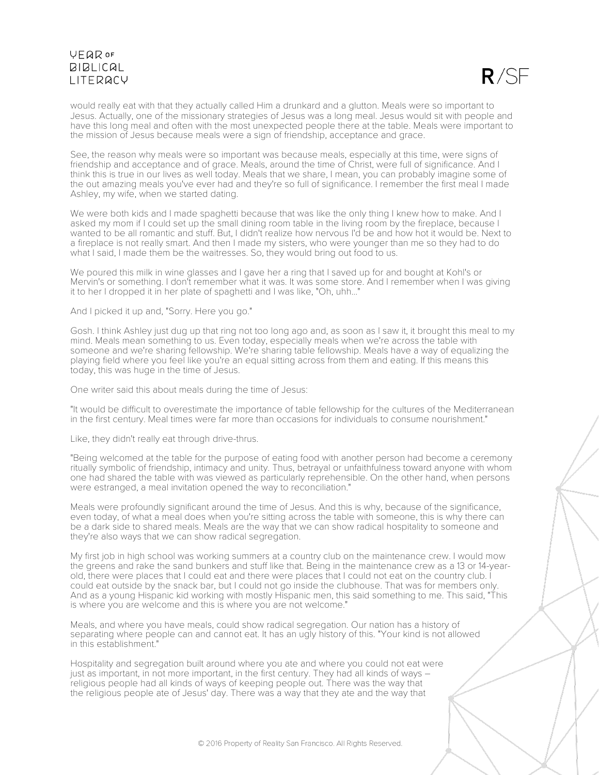$R/SE$ 

would really eat with that they actually called Him a drunkard and a glutton. Meals were so important to Jesus. Actually, one of the missionary strategies of Jesus was a long meal. Jesus would sit with people and have this long meal and often with the most unexpected people there at the table. Meals were important to the mission of Jesus because meals were a sign of friendship, acceptance and grace.

See, the reason why meals were so important was because meals, especially at this time, were signs of friendship and acceptance and of grace. Meals, around the time of Christ, were full of significance. And I think this is true in our lives as well today. Meals that we share, I mean, you can probably imagine some of the out amazing meals you've ever had and they're so full of significance. I remember the first meal I made Ashley, my wife, when we started dating.

We were both kids and I made spaghetti because that was like the only thing I knew how to make. And I asked my mom if I could set up the small dining room table in the living room by the fireplace, because I wanted to be all romantic and stuff. But, I didn't realize how nervous I'd be and how hot it would be. Next to a fireplace is not really smart. And then I made my sisters, who were younger than me so they had to do what I said, I made them be the waitresses. So, they would bring out food to us.

We poured this milk in wine glasses and I gave her a ring that I saved up for and bought at Kohl's or Mervin's or something. I don't remember what it was. It was some store. And I remember when I was giving it to her I dropped it in her plate of spaghetti and I was like, "Oh, uhh..."

And I picked it up and, "Sorry. Here you go."

Gosh. I think Ashley just dug up that ring not too long ago and, as soon as I saw it, it brought this meal to my mind. Meals mean something to us. Even today, especially meals when we're across the table with someone and we're sharing fellowship. We're sharing table fellowship. Meals have a way of equalizing the playing field where you feel like you're an equal sitting across from them and eating. If this means this today, this was huge in the time of Jesus.

One writer said this about meals during the time of Jesus:

"It would be difficult to overestimate the importance of table fellowship for the cultures of the Mediterranean in the first century. Meal times were far more than occasions for individuals to consume nourishment."

Like, they didn't really eat through drive-thrus.

"Being welcomed at the table for the purpose of eating food with another person had become a ceremony ritually symbolic of friendship, intimacy and unity. Thus, betrayal or unfaithfulness toward anyone with whom one had shared the table with was viewed as particularly reprehensible. On the other hand, when persons were estranged, a meal invitation opened the way to reconciliation."

Meals were profoundly significant around the time of Jesus. And this is why, because of the significance, even today, of what a meal does when you're sitting across the table with someone, this is why there can be a dark side to shared meals. Meals are the way that we can show radical hospitality to someone and they're also ways that we can show radical segregation.

My first job in high school was working summers at a country club on the maintenance crew. I would mow the greens and rake the sand bunkers and stuff like that. Being in the maintenance crew as a 13 or 14-yearold, there were places that I could eat and there were places that I could not eat on the country club. I could eat outside by the snack bar, but I could not go inside the clubhouse. That was for members only. And as a young Hispanic kid working with mostly Hispanic men, this said something to me. This said, "This is where you are welcome and this is where you are not welcome."

Meals, and where you have meals, could show radical segregation. Our nation has a history of separating where people can and cannot eat. It has an ugly history of this. "Your kind is not allowed in this establishment."

Hospitality and segregation built around where you ate and where you could not eat were just as important, in not more important, in the first century. They had all kinds of ways – religious people had all kinds of ways of keeping people out. There was the way that the religious people ate of Jesus' day. There was a way that they ate and the way that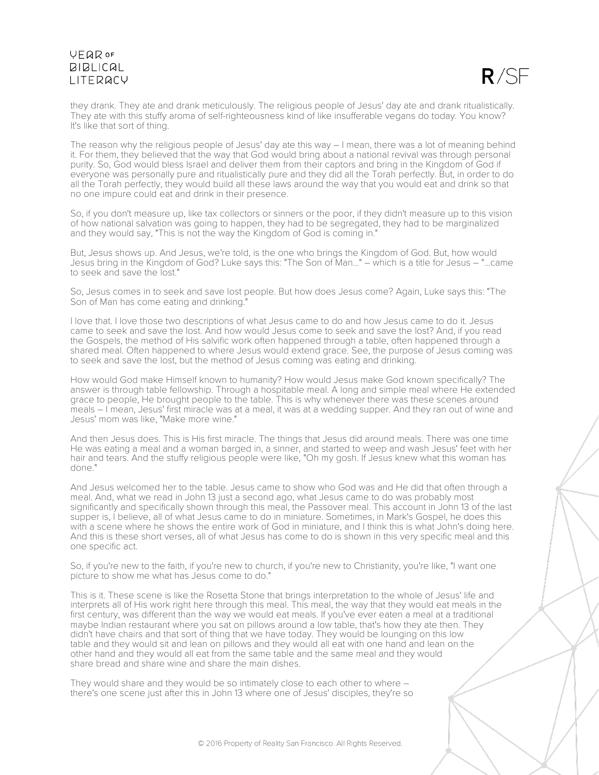

they drank. They ate and drank meticulously. The religious people of Jesus' day ate and drank ritualistically. They ate with this stuffy aroma of self-righteousness kind of like insufferable vegans do today. You know? It's like that sort of thing.

The reason why the religious people of Jesus' day ate this way – I mean, there was a lot of meaning behind it. For them, they believed that the way that God would bring about a national revival was through personal purity. So, God would bless Israel and deliver them from their captors and bring in the Kingdom of God if everyone was personally pure and ritualistically pure and they did all the Torah perfectly. But, in order to do all the Torah perfectly, they would build all these laws around the way that you would eat and drink so that no one impure could eat and drink in their presence.

So, if you don't measure up, like tax collectors or sinners or the poor, if they didn't measure up to this vision of how national salvation was going to happen, they had to be segregated, they had to be marginalized and they would say, "This is not the way the Kingdom of God is coming in."

But, Jesus shows up. And Jesus, we're told, is the one who brings the Kingdom of God. But, how would Jesus bring in the Kingdom of God? Luke says this: "The Son of Man..." – which is a title for Jesus – "...came to seek and save the lost."

So, Jesus comes in to seek and save lost people. But how does Jesus come? Again, Luke says this: "The Son of Man has come eating and drinking."

I love that. I love those two descriptions of what Jesus came to do and how Jesus came to do it. Jesus came to seek and save the lost. And how would Jesus come to seek and save the lost? And, if you read the Gospels, the method of His salvific work often happened through a table, often happened through a shared meal. Often happened to where Jesus would extend grace. See, the purpose of Jesus coming was to seek and save the lost, but the method of Jesus coming was eating and drinking.

How would God make Himself known to humanity? How would Jesus make God known specifically? The answer is through table fellowship. Through a hospitable meal. A long and simple meal where He extended grace to people, He brought people to the table. This is why whenever there was these scenes around meals – I mean, Jesus' first miracle was at a meal, it was at a wedding supper. And they ran out of wine and Jesus' mom was like, "Make more wine."

And then Jesus does. This is His first miracle. The things that Jesus did around meals. There was one time He was eating a meal and a woman barged in, a sinner, and started to weep and wash Jesus' feet with her hair and tears. And the stuffy religious people were like, "Oh my gosh. If Jesus knew what this woman has done."

And Jesus welcomed her to the table. Jesus came to show who God was and He did that often through a meal. And, what we read in John 13 just a second ago, what Jesus came to do was probably most significantly and specifically shown through this meal, the Passover meal. This account in John 13 of the last supper is, I believe, all of what Jesus came to do in miniature. Sometimes, in Mark's Gospel, he does this with a scene where he shows the entire work of God in miniature, and I think this is what John's doing here. And this is these short verses, all of what Jesus has come to do is shown in this very specific meal and this one specific act.

So, if you're new to the faith, if you're new to church, if you're new to Christianity, you're like, "I want one picture to show me what has Jesus come to do."

This is it. These scene is like the Rosetta Stone that brings interpretation to the whole of Jesus' life and interprets all of His work right here through this meal. This meal, the way that they would eat meals in the first century, was different than the way we would eat meals. If you've ever eaten a meal at a traditional maybe Indian restaurant where you sat on pillows around a low table, that's how they ate then. They didn't have chairs and that sort of thing that we have today. They would be lounging on this low table and they would sit and lean on pillows and they would all eat with one hand and lean on the other hand and they would all eat from the same table and the same meal and they would share bread and share wine and share the main dishes.

They would share and they would be so intimately close to each other to where – there's one scene just after this in John 13 where one of Jesus' disciples, they're so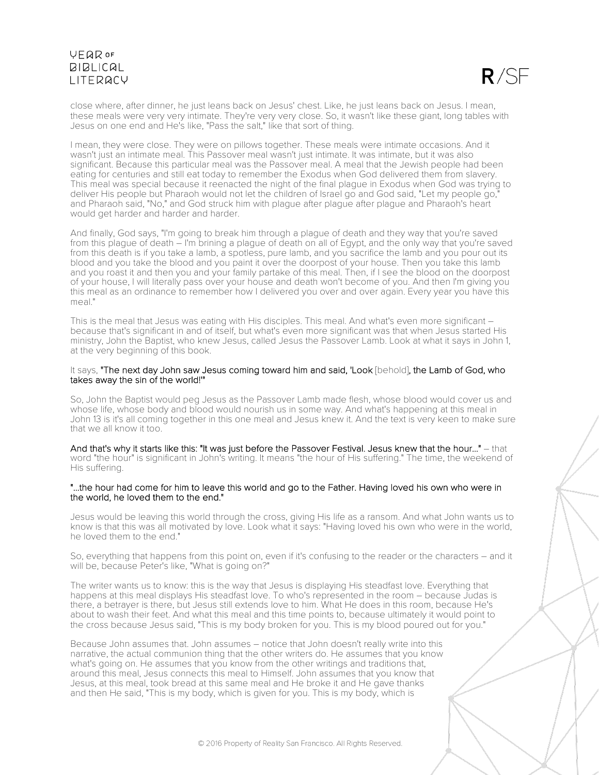$R/SF$ 

close where, after dinner, he just leans back on Jesus' chest. Like, he just leans back on Jesus. I mean, these meals were very very intimate. They're very very close. So, it wasn't like these giant, long tables with Jesus on one end and He's like, "Pass the salt," like that sort of thing.

I mean, they were close. They were on pillows together. These meals were intimate occasions. And it wasn't just an intimate meal. This Passover meal wasn't just intimate. It was intimate, but it was also significant. Because this particular meal was the Passover meal. A meal that the Jewish people had been eating for centuries and still eat today to remember the Exodus when God delivered them from slavery. This meal was special because it reenacted the night of the final plague in Exodus when God was trying to deliver His people but Pharaoh would not let the children of Israel go and God said, "Let my people go," and Pharaoh said, "No," and God struck him with plague after plague after plague and Pharaoh's heart would get harder and harder and harder.

And finally, God says, "I'm going to break him through a plague of death and they way that you're saved from this plague of death – I'm brining a plague of death on all of Egypt, and the only way that you're saved from this death is if you take a lamb, a spotless, pure lamb, and you sacrifice the lamb and you pour out its blood and you take the blood and you paint it over the doorpost of your house. Then you take this lamb and you roast it and then you and your family partake of this meal. Then, if I see the blood on the doorpost of your house, I will literally pass over your house and death won't become of you. And then I'm giving you this meal as an ordinance to remember how I delivered you over and over again. Every year you have this meal."

This is the meal that Jesus was eating with His disciples. This meal. And what's even more significant – because that's significant in and of itself, but what's even more significant was that when Jesus started His ministry, John the Baptist, who knew Jesus, called Jesus the Passover Lamb. Look at what it says in John 1, at the very beginning of this book.

### It says, "The next day John saw Jesus coming toward him and said, 'Look [behold], the Lamb of God, who takes away the sin of the world!'"

So, John the Baptist would peg Jesus as the Passover Lamb made flesh, whose blood would cover us and whose life, whose body and blood would nourish us in some way. And what's happening at this meal in John 13 is it's all coming together in this one meal and Jesus knew it. And the text is very keen to make sure that we all know it too.

And that's why it starts like this: "It was just before the Passover Festival. Jesus knew that the hour..." – that word "the hour" is significant in John's writing. It means "the hour of His suffering." The time, the weekend of His suffering.

### "...the hour had come for him to leave this world and go to the Father. Having loved his own who were in the world, he loved them to the end."

Jesus would be leaving this world through the cross, giving His life as a ransom. And what John wants us to know is that this was all motivated by love. Look what it says: "Having loved his own who were in the world, he loved them to the end."

So, everything that happens from this point on, even if it's confusing to the reader or the characters – and it will be, because Peter's like, "What is going on?"

The writer wants us to know: this is the way that Jesus is displaying His steadfast love. Everything that happens at this meal displays His steadfast love. To who's represented in the room – because Judas is there, a betrayer is there, but Jesus still extends love to him. What He does in this room, because He's about to wash their feet. And what this meal and this time points to, because ultimately it would point to the cross because Jesus said, "This is my body broken for you. This is my blood poured out for you."

Because John assumes that. John assumes – notice that John doesn't really write into this narrative, the actual communion thing that the other writers do. He assumes that you know what's going on. He assumes that you know from the other writings and traditions that, around this meal, Jesus connects this meal to Himself. John assumes that you know that Jesus, at this meal, took bread at this same meal and He broke it and He gave thanks and then He said, "This is my body, which is given for you. This is my body, which is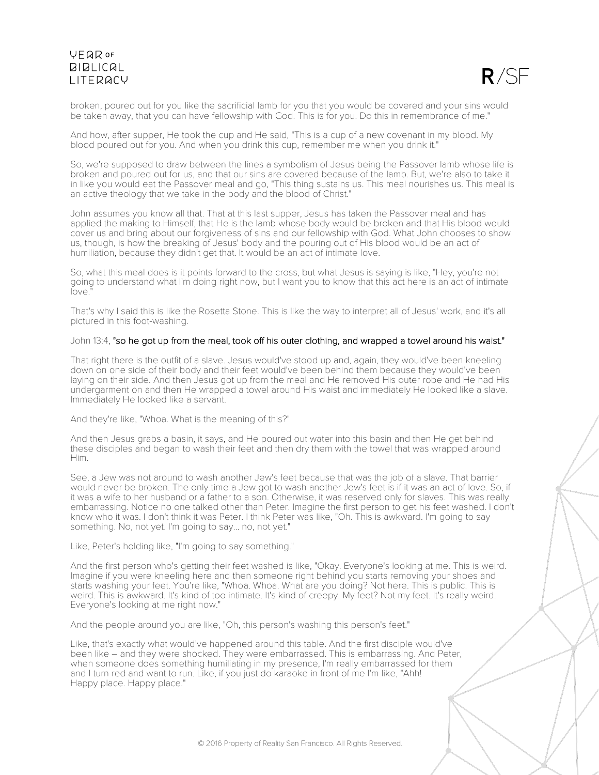

broken, poured out for you like the sacrificial lamb for you that you would be covered and your sins would be taken away, that you can have fellowship with God. This is for you. Do this in remembrance of me."

And how, after supper, He took the cup and He said, "This is a cup of a new covenant in my blood. My blood poured out for you. And when you drink this cup, remember me when you drink it."

So, we're supposed to draw between the lines a symbolism of Jesus being the Passover lamb whose life is broken and poured out for us, and that our sins are covered because of the lamb. But, we're also to take it in like you would eat the Passover meal and go, "This thing sustains us. This meal nourishes us. This meal is an active theology that we take in the body and the blood of Christ."

John assumes you know all that. That at this last supper, Jesus has taken the Passover meal and has applied the making to Himself, that He is the lamb whose body would be broken and that His blood would cover us and bring about our forgiveness of sins and our fellowship with God. What John chooses to show us, though, is how the breaking of Jesus' body and the pouring out of His blood would be an act of humiliation, because they didn't get that. It would be an act of intimate love.

So, what this meal does is it points forward to the cross, but what Jesus is saying is like, "Hey, you're not going to understand what I'm doing right now, but I want you to know that this act here is an act of intimate love."

That's why I said this is like the Rosetta Stone. This is like the way to interpret all of Jesus' work, and it's all pictured in this foot-washing.

### John 13:4, "so he got up from the meal, took off his outer clothing, and wrapped a towel around his waist."

That right there is the outfit of a slave. Jesus would've stood up and, again, they would've been kneeling down on one side of their body and their feet would've been behind them because they would've been laying on their side. And then Jesus got up from the meal and He removed His outer robe and He had His undergarment on and then He wrapped a towel around His waist and immediately He looked like a slave. Immediately He looked like a servant.

And they're like, "Whoa. What is the meaning of this?"

And then Jesus grabs a basin, it says, and He poured out water into this basin and then He get behind these disciples and began to wash their feet and then dry them with the towel that was wrapped around Him.

See, a Jew was not around to wash another Jew's feet because that was the job of a slave. That barrier would never be broken. The only time a Jew got to wash another Jew's feet is if it was an act of love. So, if it was a wife to her husband or a father to a son. Otherwise, it was reserved only for slaves. This was really embarrassing. Notice no one talked other than Peter. Imagine the first person to get his feet washed. I don't know who it was. I don't think it was Peter. I think Peter was like, "Oh. This is awkward. I'm going to say something. No, not yet. I'm going to say... no, not yet."

Like, Peter's holding like, "I'm going to say something."

And the first person who's getting their feet washed is like, "Okay. Everyone's looking at me. This is weird. Imagine if you were kneeling here and then someone right behind you starts removing your shoes and starts washing your feet. You're like, "Whoa. Whoa. What are you doing? Not here. This is public. This is weird. This is awkward. It's kind of too intimate. It's kind of creepy. My feet? Not my feet. It's really weird. Everyone's looking at me right now."

And the people around you are like, "Oh, this person's washing this person's feet."

Like, that's exactly what would've happened around this table. And the first disciple would've been like – and they were shocked. They were embarrassed. This is embarrassing. And Peter, when someone does something humiliating in my presence, I'm really embarrassed for them and I turn red and want to run. Like, if you just do karaoke in front of me I'm like, "Ahh! Happy place. Happy place."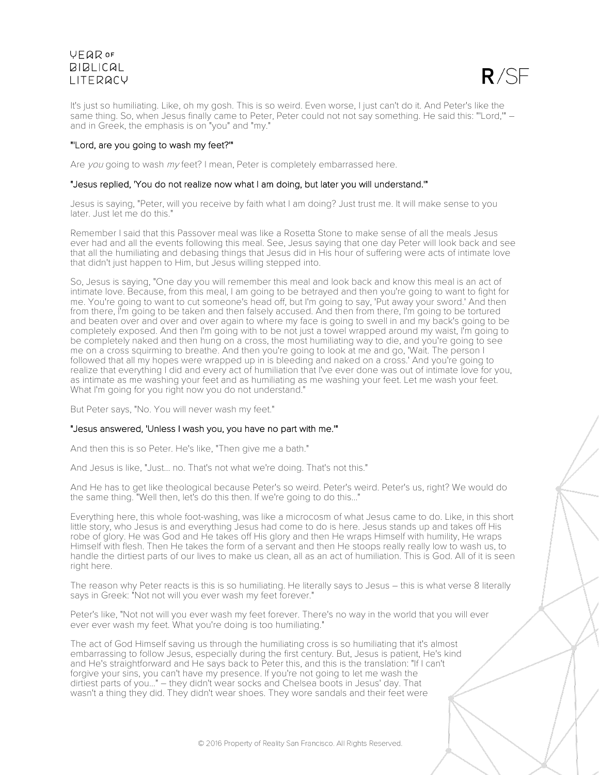

It's just so humiliating. Like, oh my gosh. This is so weird. Even worse, I just can't do it. And Peter's like the same thing. So, when Jesus finally came to Peter, Peter could not not say something. He said this: "'Lord,'" – and in Greek, the emphasis is on "you" and "my."

### "'Lord, are you going to wash my feet?'"

Are you going to wash  $mV$  feet? I mean, Peter is completely embarrassed here.

### "Jesus replied, 'You do not realize now what I am doing, but later you will understand.'"

Jesus is saying, "Peter, will you receive by faith what I am doing? Just trust me. It will make sense to you later. Just let me do this."

Remember I said that this Passover meal was like a Rosetta Stone to make sense of all the meals Jesus ever had and all the events following this meal. See, Jesus saying that one day Peter will look back and see that all the humiliating and debasing things that Jesus did in His hour of suffering were acts of intimate love that didn't just happen to Him, but Jesus willing stepped into.

So, Jesus is saying, "One day you will remember this meal and look back and know this meal is an act of intimate love. Because, from this meal, I am going to be betrayed and then you're going to want to fight for me. You're going to want to cut someone's head off, but I'm going to say, 'Put away your sword.' And then from there, I'm going to be taken and then falsely accused. And then from there, I'm going to be tortured and beaten over and over and over again to where my face is going to swell in and my back's going to be completely exposed. And then I'm going with to be not just a towel wrapped around my waist, I'm going to be completely naked and then hung on a cross, the most humiliating way to die, and you're going to see me on a cross squirming to breathe. And then you're going to look at me and go, 'Wait. The person I followed that all my hopes were wrapped up in is bleeding and naked on a cross.' And you're going to realize that everything I did and every act of humiliation that I've ever done was out of intimate love for you, as intimate as me washing your feet and as humiliating as me washing your feet. Let me wash your feet. What I'm going for you right now you do not understand."

But Peter says, "No. You will never wash my feet."

### "Jesus answered, 'Unless I wash you, you have no part with me.'"

And then this is so Peter. He's like, "Then give me a bath."

And Jesus is like, "Just... no. That's not what we're doing. That's not this."

And He has to get like theological because Peter's so weird. Peter's weird. Peter's us, right? We would do the same thing. "Well then, let's do this then. If we're going to do this..."

Everything here, this whole foot-washing, was like a microcosm of what Jesus came to do. Like, in this short little story, who Jesus is and everything Jesus had come to do is here. Jesus stands up and takes off His robe of glory. He was God and He takes off His glory and then He wraps Himself with humility, He wraps Himself with flesh. Then He takes the form of a servant and then He stoops really really low to wash us, to handle the dirtiest parts of our lives to make us clean, all as an act of humiliation. This is God. All of it is seen right here.

The reason why Peter reacts is this is so humiliating. He literally says to Jesus – this is what verse 8 literally says in Greek: "Not not will you ever wash my feet forever."

Peter's like, "Not not will you ever wash my feet forever. There's no way in the world that you will ever ever ever wash my feet. What you're doing is too humiliating."

The act of God Himself saving us through the humiliating cross is so humiliating that it's almost embarrassing to follow Jesus, especially during the first century. But, Jesus is patient, He's kind and He's straightforward and He says back to Peter this, and this is the translation: "If I can't forgive your sins, you can't have my presence. If you're not going to let me wash the dirtiest parts of you..." – they didn't wear socks and Chelsea boots in Jesus' day. That wasn't a thing they did. They didn't wear shoes. They wore sandals and their feet were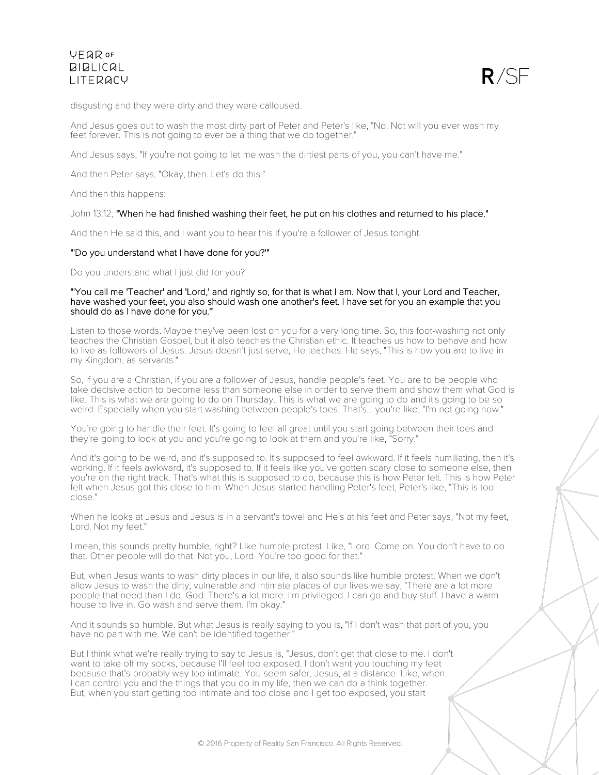

disgusting and they were dirty and they were calloused.

And Jesus goes out to wash the most dirty part of Peter and Peter's like, "No. Not will you ever wash my feet forever. This is not going to ever be a thing that we do together."

And Jesus says, "If you're not going to let me wash the dirtiest parts of you, you can't have me."

And then Peter says, "Okay, then. Let's do this."

And then this happens:

John 13:12, "When he had finished washing their feet, he put on his clothes and returned to his place."

And then He said this, and I want you to hear this if you're a follower of Jesus tonight.

### "'Do you understand what I have done for you?'"

Do you understand what I just did for you?

### "'You call me 'Teacher' and 'Lord,' and rightly so, for that is what I am. Now that I, your Lord and Teacher, have washed your feet, you also should wash one another's feet. I have set for you an example that you should do as I have done for you.'"

Listen to those words. Maybe they've been lost on you for a very long time. So, this foot-washing not only teaches the Christian Gospel, but it also teaches the Christian ethic. It teaches us how to behave and how to live as followers of Jesus. Jesus doesn't just serve, He teaches. He says, "This is how you are to live in my Kingdom, as servants."

So, if you are a Christian, if you are a follower of Jesus, handle people's feet. You are to be people who take decisive action to become less than someone else in order to serve them and show them what God is like. This is what we are going to do on Thursday. This is what we are going to do and it's going to be so weird. Especially when you start washing between people's toes. That's... you're like, "I'm not going now."

You're going to handle their feet. It's going to feel all great until you start going between their toes and they're going to look at you and you're going to look at them and you're like, "Sorry."

And it's going to be weird, and it's supposed to. It's supposed to feel awkward. If it feels humiliating, then it's working. If it feels awkward, it's supposed to. If it feels like you've gotten scary close to someone else, then you're on the right track. That's what this is supposed to do, because this is how Peter felt. This is how Peter felt when Jesus got this close to him. When Jesus started handling Peter's feet, Peter's like, "This is too close."

When he looks at Jesus and Jesus is in a servant's towel and He's at his feet and Peter says, "Not my feet, Lord. Not my feet."

I mean, this sounds pretty humble, right? Like humble protest. Like, "Lord. Come on. You don't have to do that. Other people will do that. Not you, Lord. You're too good for that."

But, when Jesus wants to wash dirty places in our life, it also sounds like humble protest. When we don't allow Jesus to wash the dirty, vulnerable and intimate places of our lives we say, "There are a lot more people that need than I do, God. There's a lot more. I'm privileged. I can go and buy stuff. I have a warm house to live in. Go wash and serve them. I'm okay."

And it sounds so humble. But what Jesus is really saying to you is, "If I don't wash that part of you, you have no part with me. We can't be identified together."

But I think what we're really trying to say to Jesus is, "Jesus, don't get that close to me. I don't want to take off my socks, because I'll feel too exposed. I don't want you touching my feet because that's probably way too intimate. You seem safer, Jesus, at a distance. Like, when I can control you and the things that you do in my life, then we can do a think together. But, when you start getting too intimate and too close and I get too exposed, you start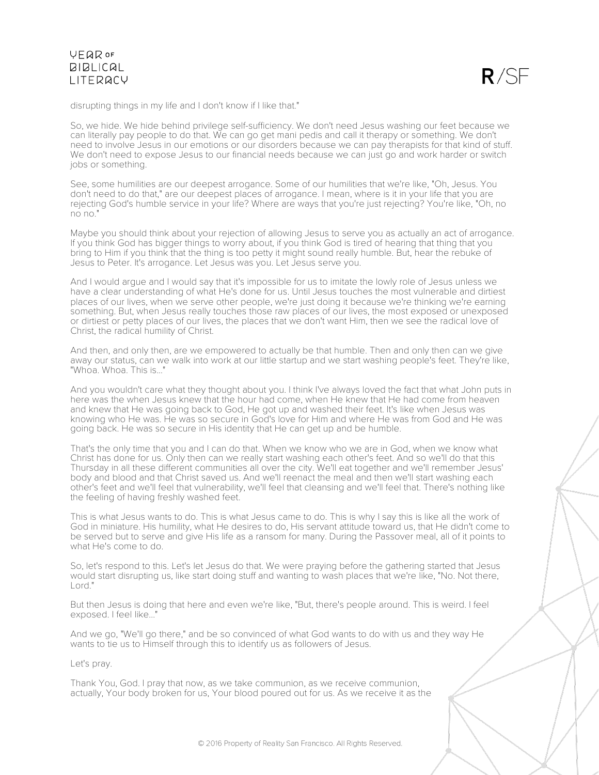

disrupting things in my life and I don't know if I like that."

So, we hide. We hide behind privilege self-sufficiency. We don't need Jesus washing our feet because we can literally pay people to do that. We can go get mani pedis and call it therapy or something. We don't need to involve Jesus in our emotions or our disorders because we can pay therapists for that kind of stuff. We don't need to expose Jesus to our financial needs because we can just go and work harder or switch jobs or something.

See, some humilities are our deepest arrogance. Some of our humilities that we're like, "Oh, Jesus. You don't need to do that," are our deepest places of arrogance. I mean, where is it in your life that you are rejecting God's humble service in your life? Where are ways that you're just rejecting? You're like, "Oh, no no no."

Maybe you should think about your rejection of allowing Jesus to serve you as actually an act of arrogance. If you think God has bigger things to worry about, if you think God is tired of hearing that thing that you bring to Him if you think that the thing is too petty it might sound really humble. But, hear the rebuke of Jesus to Peter. It's arrogance. Let Jesus was you. Let Jesus serve you.

And I would argue and I would say that it's impossible for us to imitate the lowly role of Jesus unless we have a clear understanding of what He's done for us. Until Jesus touches the most vulnerable and dirtiest places of our lives, when we serve other people, we're just doing it because we're thinking we're earning something. But, when Jesus really touches those raw places of our lives, the most exposed or unexposed or dirtiest or petty places of our lives, the places that we don't want Him, then we see the radical love of Christ, the radical humility of Christ.

And then, and only then, are we empowered to actually be that humble. Then and only then can we give away our status, can we walk into work at our little startup and we start washing people's feet. They're like, "Whoa. Whoa. This is..."

And you wouldn't care what they thought about you. I think I've always loved the fact that what John puts in here was the when Jesus knew that the hour had come, when He knew that He had come from heaven and knew that He was going back to God, He got up and washed their feet. It's like when Jesus was knowing who He was. He was so secure in God's love for Him and where He was from God and He was going back. He was so secure in His identity that He can get up and be humble.

That's the only time that you and I can do that. When we know who we are in God, when we know what Christ has done for us. Only then can we really start washing each other's feet. And so we'll do that this Thursday in all these different communities all over the city. We'll eat together and we'll remember Jesus' body and blood and that Christ saved us. And we'll reenact the meal and then we'll start washing each other's feet and we'll feel that vulnerability, we'll feel that cleansing and we'll feel that. There's nothing like the feeling of having freshly washed feet.

This is what Jesus wants to do. This is what Jesus came to do. This is why I say this is like all the work of God in miniature. His humility, what He desires to do, His servant attitude toward us, that He didn't come to be served but to serve and give His life as a ransom for many. During the Passover meal, all of it points to what He's come to do.

So, let's respond to this. Let's let Jesus do that. We were praying before the gathering started that Jesus would start disrupting us, like start doing stuff and wanting to wash places that we're like, "No. Not there, Lord."

But then Jesus is doing that here and even we're like, "But, there's people around. This is weird. I feel exposed. I feel like..."

And we go, "We'll go there," and be so convinced of what God wants to do with us and they way He wants to tie us to Himself through this to identify us as followers of Jesus.

Let's pray.

Thank You, God. I pray that now, as we take communion, as we receive communion, actually, Your body broken for us, Your blood poured out for us. As we receive it as the